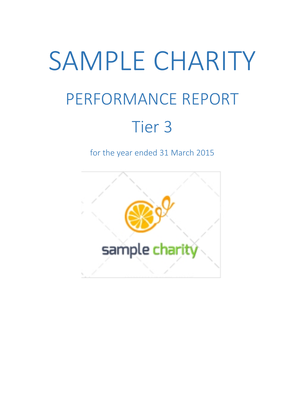# SAMPLE CHARITY PERFORMANCE REPORT Tier 3

for the year ended 31 March 2015

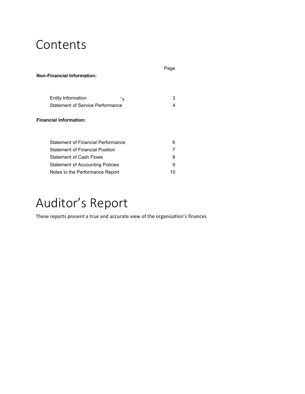### Contents

| <b>Non-Financial Information:</b>       | Page |
|-----------------------------------------|------|
| Entity Information<br>$\cdot_{\rm S}$   | 3    |
| <b>Statement of Service Performance</b> | 4    |
| <b>Financial Information:</b>           |      |
| Statement of Financial Performance      | 6    |
| <b>Statement of Financial Position</b>  | 7    |
| <b>Statement of Cash Flows</b>          | 8    |
| Statement of Accounting Policies        | 9    |
| Notes to the Performance Report         | 10   |

### Auditor's Report

These reports present a true and accurate view of the organisation's finances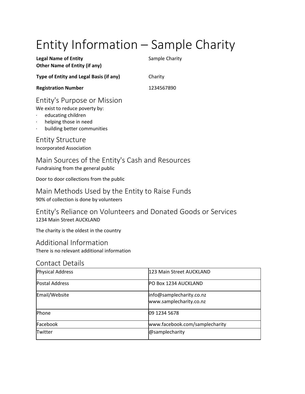# Entity Information – Sample Charity

| <b>Legal Name of Entity</b>             | Sample Charity |
|-----------------------------------------|----------------|
| <b>Other Name of Entity (if any)</b>    |                |
| Type of Entity and Legal Basis (if any) | Charity        |
| <b>Registration Number</b>              | 1234567890     |
| Entity's Purpose or Mission             |                |

We exist to reduce poverty by:

- educating children
- · helping those in need
- building better communities

Entity Structure

Incorporated Association

### Main Sources of the Entity's Cash and Resources

Fundraising from the general public

Door to door collections from the public

#### Main Methods Used by the Entity to Raise Funds 90% of collection is done by volunteers

Entity's Reliance on Volunteers and Donated Goods or Services 1234 Main Street AUCKLAND

The charity is the oldest in the country

Additional Information

There is no relevant additional information

#### Contact Details

| <b>Physical Address</b> | 123 Main Street AUCKLAND                            |
|-------------------------|-----------------------------------------------------|
| <b>Postal Address</b>   | PO Box 1234 AUCKLAND                                |
| Email/Website           | info@samplecharity.co.nz<br>www.samplecharity.co.nz |
| Phone                   | 09 1234 5678                                        |
| Facebook                | www.facebook.com/samplecharity                      |
| Twitter                 | @samplecharity                                      |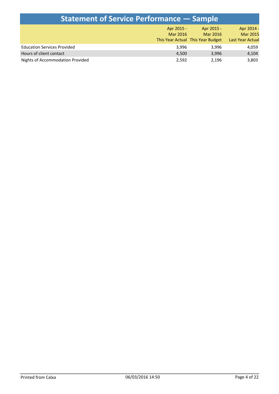| <b>Statement of Service Performance – Sample</b> |            |                                   |                         |  |  |  |
|--------------------------------------------------|------------|-----------------------------------|-------------------------|--|--|--|
|                                                  | Apr 2015 - | Apr 2015 -                        | Apr 2014 -              |  |  |  |
|                                                  | Mar 2016   | Mar 2016                          | <b>Mar 2015</b>         |  |  |  |
|                                                  |            | This Year Actual This Year Budget | <b>Last Year Actual</b> |  |  |  |
| <b>Education Services Provided</b>               | 3.996      | 3.996                             | 4,059                   |  |  |  |
| Hours of client contact                          | 4,500      | 3,996                             | 4,104                   |  |  |  |
| Nights of Accommodation Provided                 | 2,592      | 2,196                             | 3,803                   |  |  |  |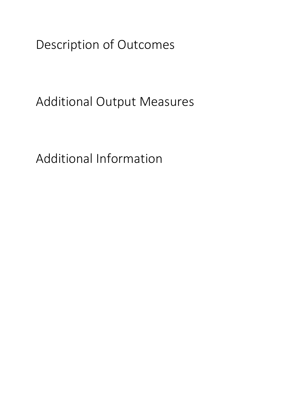Description of Outcomes

Additional Output Measures

Additional Information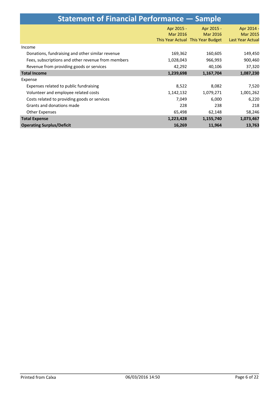| <b>Statement of Financial Performance - Sample</b> |                 |                                   |                  |  |  |  |
|----------------------------------------------------|-----------------|-----------------------------------|------------------|--|--|--|
|                                                    | Apr 2015 -      | Apr 2015 -                        | Apr 2014 -       |  |  |  |
|                                                    | <b>Mar 2016</b> | Mar 2016                          | <b>Mar 2015</b>  |  |  |  |
|                                                    |                 | This Year Actual This Year Budget | Last Year Actual |  |  |  |
| Income                                             |                 |                                   |                  |  |  |  |
| Donations, fundraising and other similar revenue   | 169,362         | 160,605                           | 149,450          |  |  |  |
| Fees, subscriptions and other revenue from members | 1,028,043       | 966,993                           | 900,460          |  |  |  |
| Revenue from providing goods or services           | 42,292          | 40,106                            | 37,320           |  |  |  |
| <b>Total Income</b>                                | 1,239,698       | 1,167,704                         | 1,087,230        |  |  |  |
| Expense                                            |                 |                                   |                  |  |  |  |
| Expenses related to public fundraising             | 8,522           | 8,082                             | 7,520            |  |  |  |
| Volunteer and employee related costs               | 1,142,132       | 1,079,271                         | 1,001,262        |  |  |  |
| Costs related to providing goods or services       | 7,049           | 6,000                             | 6,220            |  |  |  |
| Grants and donations made                          | 228             | 238                               | 218              |  |  |  |
| <b>Other Expenses</b>                              | 65,498          | 62,148                            | 58,246           |  |  |  |
| <b>Total Expense</b>                               | 1,223,428       | 1,155,740                         | 1,073,467        |  |  |  |
| <b>Operating Surplus/Deficit</b>                   | 16,269          | 11,964                            | 13,763           |  |  |  |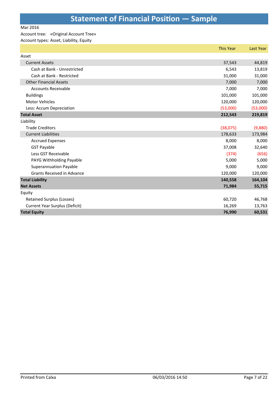#### Mar 2016

#### Account tree: «Original Account Tree»

Account types: Asset, Liability, Equity

|                                       | <b>This Year</b> | <b>Last Year</b> |
|---------------------------------------|------------------|------------------|
| Asset                                 |                  |                  |
| <b>Current Assets</b>                 | 37,543           | 44,819           |
| Cash at Bank - Unrestricted           | 6,543            | 13,819           |
| Cash at Bank - Restricted             | 31,000           | 31,000           |
| <b>Other Financial Assets</b>         | 7,000            | 7,000            |
| <b>Accounts Receivable</b>            | 7,000            | 7,000            |
| <b>Buildings</b>                      | 101,000          | 101,000          |
| <b>Motor Vehicles</b>                 | 120,000          | 120,000          |
| Less: Accum Depreciation              | (53,000)         | (53,000)         |
| <b>Total Asset</b>                    | 212,543          | 219,819          |
| Liability                             |                  |                  |
| <b>Trade Creditors</b>                | (38,075)         | (9,880)          |
| <b>Current Liabilities</b>            | 178,633          | 173,984          |
| <b>Accrued Expenses</b>               | 8,000            | 8,000            |
| <b>GST Payable</b>                    | 37,008           | 32,640           |
| Less GST Receivable                   | (374)            | (656)            |
| PAYG Withholding Payable              | 5,000            | 5,000            |
| <b>Superannuation Payable</b>         | 9,000            | 9,000            |
| <b>Grants Received in Advance</b>     | 120,000          | 120,000          |
| <b>Total Liability</b>                | 140,558          | 164,104          |
| <b>Net Assets</b>                     | 71,984           | 55,715           |
| Equity                                |                  |                  |
| <b>Retained Surplus (Losses)</b>      | 60,720           | 46,768           |
| <b>Current Year Surplus (Deficit)</b> | 16,269           | 13,763           |
| <b>Total Equity</b>                   | 76,990           | 60,531           |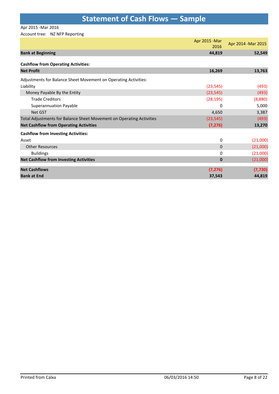### **Statement of Cash Flows — Sample**

Apr 2015 -Mar 2016

#### Account tree: NZ NFP Reporting

|                                                                      | Apr 2015 - Mar<br>2016 | Apr 2014 - Mar 2015 |
|----------------------------------------------------------------------|------------------------|---------------------|
| <b>Bank at Beginning</b>                                             | 44,819                 | 52,549              |
| <b>Cashflow from Operating Activities:</b>                           |                        |                     |
| <b>Net Profit</b>                                                    | 16,269                 | 13,763              |
| Adjustments for Balance Sheet Movement on Operating Activities:      |                        |                     |
| Liability                                                            | (23, 545)              | (493)               |
| Money Payable By the Entity                                          | (23, 545)              | (493)               |
| <b>Trade Creditors</b>                                               | (28, 195)              | (8,880)             |
| <b>Superannuation Payable</b>                                        | 0                      | 5,000               |
| Net GST                                                              | 4,650                  | 3,387               |
| Total Adjustments for Balance Sheet Movement on Operating Activities | (23, 545)              | (493)               |
| <b>Net Cashflow from Operating Activities</b>                        | (7, 276)               | 13,270              |
| <b>Cashflow from Investing Activities:</b>                           |                        |                     |
| Asset                                                                | 0                      | (21,000)            |
| <b>Other Resources</b>                                               | $\Omega$               | (21,000)            |
| <b>Buildings</b>                                                     | 0                      | (21,000)            |
| <b>Net Cashflow from Investing Activities</b>                        | $\bf{0}$               | (21,000)            |
| <b>Net Cashflows</b>                                                 | (7, 276)               | (7, 730)            |
| <b>Bank at End</b>                                                   | 37,543                 | 44,819              |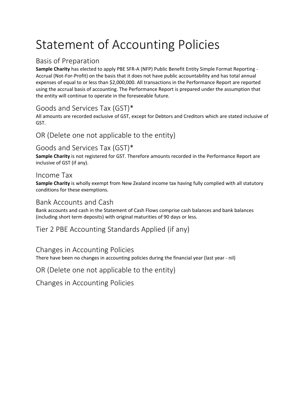## Statement of Accounting Policies

### Basis of Preparation

**Sample Charity** has elected to apply PBE SFR-A (NFP) Public Benefit Entity Simple Format Reporting - Accrual (Not-For-Profit) on the basis that it does not have public accountability and has total annual expenses of equal to or less than \$2,000,000. All transactions in the Performance Report are reported using the accrual basis of accounting. The Performance Report is prepared under the assumption that the entity will continue to operate in the foreseeable future.

### Goods and Services Tax (GST)\*

All amounts are recorded exclusive of GST, except for Debtors and Creditors which are stated inclusive of GST.

### OR (Delete one not applicable to the entity)

### Goods and Services Tax (GST)\*

**Sample Charity** is not registered for GST. Therefore amounts recorded in the Performance Report are inclusive of GST (if any).

#### Income Tax

**Sample Charity** is wholly exempt from New Zealand income tax having fully complied with all statutory conditions for these exemptions.

#### Bank Accounts and Cash

Bank accounts and cash in the Statement of Cash Flows comprise cash balances and bank balances (including short term deposits) with original maturities of 90 days or less.

#### Tier 2 PBE Accounting Standards Applied (if any)

#### Changes in Accounting Policies

There have been no changes in accounting policies during the financial year (last year - nil)

OR (Delete one not applicable to the entity)

Changes in Accounting Policies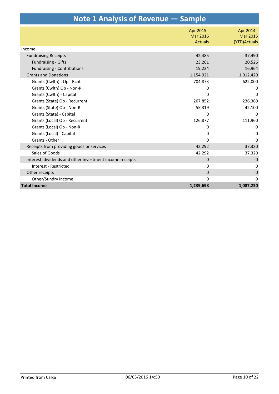| Note 1 Analysis of Revenue – Sample                      |                                          |                                                |  |  |  |
|----------------------------------------------------------|------------------------------------------|------------------------------------------------|--|--|--|
|                                                          | Apr 2015 -<br>Mar 2016<br><b>Actuals</b> | Apr 2014 -<br><b>Mar 2015</b><br>(YTD) Actuals |  |  |  |
| Income                                                   |                                          |                                                |  |  |  |
| <b>Fundraising Receipts</b>                              | 42,485                                   | 37,490                                         |  |  |  |
| <b>Fundraising - Gifts</b>                               | 23,261                                   | 20,526                                         |  |  |  |
| <b>Fundraising - Contributions</b>                       | 19,224                                   | 16,964                                         |  |  |  |
| <b>Grants and Donations</b>                              | 1,154,921                                | 1,012,420                                      |  |  |  |
| Grants (Cwlth) - Op - Rcnt                               | 704,873                                  | 622,000                                        |  |  |  |
| Grants (Cwlth) Op - Non-R                                | 0                                        | 0                                              |  |  |  |
| Grants (Cwlth) - Capital                                 | 0                                        | $\Omega$                                       |  |  |  |
| Grants (State) Op - Recurrent                            | 267,852                                  | 236,360                                        |  |  |  |
| Grants (State) Op - Non-R                                | 55,319                                   | 42,100                                         |  |  |  |
| Grants (State) - Capital                                 | $\Omega$                                 | <sup>0</sup>                                   |  |  |  |
| Grants (Local) Op - Recurrent                            | 126,877                                  | 111,960                                        |  |  |  |
| Grants (Local) Op - Non-R                                | 0                                        | $\Omega$                                       |  |  |  |
| Grants (Local) - Capital                                 | 0                                        | 0                                              |  |  |  |
| Grants - Other                                           | $\mathbf 0$                              | $\Omega$                                       |  |  |  |
| Receipts from providing goods or services                | 42,292                                   | 37,320                                         |  |  |  |
| Sales of Goods                                           | 42,292                                   | 37,320                                         |  |  |  |
| Interest, dividends and other investment income receipts | $\mathbf 0$                              | $\mathbf 0$                                    |  |  |  |
| Interest - Restricted                                    | 0                                        | 0                                              |  |  |  |
| Other receipts                                           | $\mathbf 0$                              | $\mathbf 0$                                    |  |  |  |
| Other/Sundry Income                                      | $\Omega$                                 | 0                                              |  |  |  |
| <b>Total Income</b>                                      | 1,239,698                                | 1,087,230                                      |  |  |  |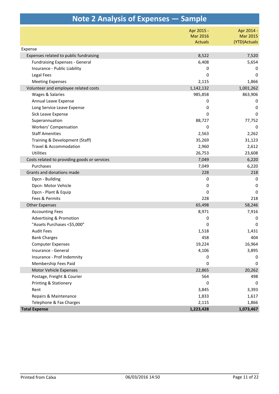| Note 2 Analysis of Expenses – Sample         |                |                 |
|----------------------------------------------|----------------|-----------------|
|                                              | Apr 2015 -     | Apr 2014 -      |
|                                              | Mar 2016       | <b>Mar 2015</b> |
|                                              | <b>Actuals</b> | (YTD) Actuals   |
| Expense                                      |                |                 |
| Expenses related to public fundraising       | 8,522          | 7,520           |
| <b>Fundraising Expenses - General</b>        | 6,408          | 5,654           |
| Insurance - Public Liability                 | 0              | 0               |
| Legal Fees                                   | 0              | $\mathbf 0$     |
| <b>Meeting Expenses</b>                      | 2,115          | 1,866           |
| Volunteer and employee related costs         | 1,142,132      | 1,001,262       |
| Wages & Salaries                             | 985,858        | 863,906         |
| Annual Leave Expense                         | 0              | 0               |
| Long Service Leave Expense                   | 0              | 0               |
| Sick Leave Expense                           | 0              | $\mathbf 0$     |
| Superannuation                               | 88,727         | 77,752          |
| <b>Workers' Compensation</b>                 | 0              | 0               |
| <b>Staff Amenities</b>                       | 2,563          | 2,262           |
| Training & Development (Staff)               | 35,269         | 31,123          |
| Travel & Accommodation                       | 2,960          | 2,612           |
| Utilities                                    | 26,753         | 23,608          |
| Costs related to providing goods or services | 7,049          | 6,220           |
| Purchases                                    | 7,049          | 6,220           |
| Grants and donations made                    | 228            | 218             |
| Dpcn - Building                              | 0              | 0               |
| Dpcn-Motor Vehicle                           | 0              | 0               |
| Dpcn - Plant & Equip                         | 0              | 0               |
| Fees & Permits                               | 228            | 218             |
| <b>Other Expenses</b>                        | 65,498         | 58,246          |
| <b>Accounting Fees</b>                       | 8,971          | 7,916           |
| <b>Advertising &amp; Promotion</b>           | 0              | 0               |
| "Assets Purchases <\$5,000"                  | 0              | 0               |
| <b>Audit Fees</b>                            | 1,518          | 1,431           |
| <b>Bank Charges</b>                          | 458            | 404             |
| <b>Computer Expenses</b>                     | 19,224         | 16,964          |
| Insurance - General                          | 4,106          | 3,895           |
| Insurance - Prof Indemnity                   | 0              | 0               |
| Membership Fees Paid                         | 0              | 0               |
| Motor Vehicle Expenses                       | 22,865         | 20,262          |
| Postage, Freight & Courier                   | 564            | 498             |
| Printing & Stationery                        | 0              | 0               |
| Rent                                         | 3,845          | 3,393           |
| Repairs & Maintenance                        | 1,833          | 1,617           |
| Telephone & Fax Charges                      | 2,115          | 1,866           |
| <b>Total Expense</b>                         | 1,223,428      | 1,073,467       |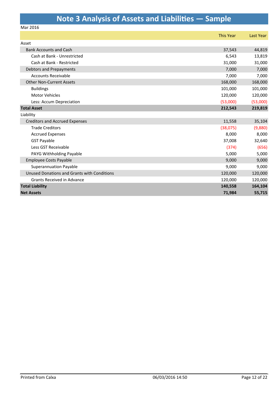### **Note 3 Analysis of Assets and Liabilities — Sample**

Mar 2016

|                                             | <b>This Year</b> | Last Year |
|---------------------------------------------|------------------|-----------|
| Asset                                       |                  |           |
| <b>Bank Accounts and Cash</b>               | 37,543           | 44,819    |
| Cash at Bank - Unrestricted                 | 6,543            | 13,819    |
| Cash at Bank - Restricted                   | 31,000           | 31,000    |
| Debtors and Prepayments                     | 7,000            | 7,000     |
| <b>Accounts Receivable</b>                  | 7,000            | 7,000     |
| <b>Other Non-Current Assets</b>             | 168,000          | 168,000   |
| <b>Buildings</b>                            | 101,000          | 101,000   |
| <b>Motor Vehicles</b>                       | 120,000          | 120,000   |
| Less: Accum Depreciation                    | (53,000)         | (53,000)  |
| <b>Total Asset</b>                          | 212,543          | 219,819   |
| Liability                                   |                  |           |
| <b>Creditors and Accrued Expenses</b>       | 11,558           | 35,104    |
| <b>Trade Creditors</b>                      | (38,075)         | (9,880)   |
| <b>Accrued Expenses</b>                     | 8,000            | 8,000     |
| <b>GST Payable</b>                          | 37,008           | 32,640    |
| Less GST Receivable                         | (374)            | (656)     |
| PAYG Withholding Payable                    | 5,000            | 5,000     |
| <b>Employee Costs Payable</b>               | 9,000            | 9,000     |
| <b>Superannuation Payable</b>               | 9,000            | 9,000     |
| Unused Donations and Grants with Conditions | 120,000          | 120,000   |
| Grants Received in Advance                  | 120,000          | 120,000   |
| <b>Total Liability</b>                      | 140,558          | 164,104   |
| <b>Net Assets</b>                           | 71,984           | 55,715    |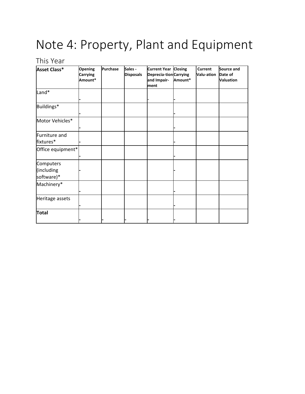### Note 4: Property, Plant and Equipment

### This Year

| Asset Class*                          | <b>Opening</b><br><b>Carrying</b><br>Amount* | Purchase | Sales -<br><b>Disposals</b> | Current Year Closing<br>Deprecia-tion Carrying<br>and Impair-<br>ment | Amount* | <b>Current</b><br>Valu-ation | Source and<br>Date of<br><b>Valuation</b> |
|---------------------------------------|----------------------------------------------|----------|-----------------------------|-----------------------------------------------------------------------|---------|------------------------------|-------------------------------------------|
| Land*                                 |                                              |          |                             |                                                                       |         |                              |                                           |
| Buildings*                            |                                              |          |                             |                                                                       |         |                              |                                           |
| Motor Vehicles*                       |                                              |          |                             |                                                                       |         |                              |                                           |
| Furniture and<br>fixtures*            |                                              |          |                             |                                                                       |         |                              |                                           |
| Office equipment*                     |                                              |          |                             |                                                                       |         |                              |                                           |
| Computers<br>(including<br>software)* |                                              |          |                             |                                                                       |         |                              |                                           |
| Machinery*                            |                                              |          |                             |                                                                       |         |                              |                                           |
| Heritage assets                       |                                              |          |                             |                                                                       |         |                              |                                           |
| <b>Total</b>                          |                                              |          |                             |                                                                       |         |                              |                                           |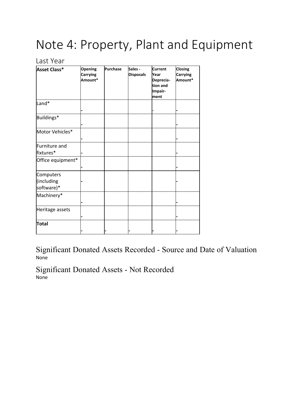# Note 4: Property, Plant and Equipment

#### Last Year

| Asset Class*                          | <b>Opening</b><br>Carrying<br>Amount* | <b>Purchase</b> | Sales -<br><b>Disposals</b> | <b>Current</b><br>Year<br>Deprecia-<br>tion and<br>Impair-<br>ment | <b>Closing</b><br>Carrying<br>Amount* |
|---------------------------------------|---------------------------------------|-----------------|-----------------------------|--------------------------------------------------------------------|---------------------------------------|
| Land*                                 |                                       |                 |                             |                                                                    |                                       |
| Buildings*                            |                                       |                 |                             |                                                                    |                                       |
| Motor Vehicles*                       |                                       |                 |                             |                                                                    |                                       |
| Furniture and<br>fixtures*            |                                       |                 |                             |                                                                    |                                       |
| Office equipment*                     |                                       |                 |                             |                                                                    |                                       |
| Computers<br>(including<br>software)* |                                       |                 |                             |                                                                    |                                       |
| Machinery*                            |                                       |                 |                             |                                                                    |                                       |
| Heritage assets                       |                                       |                 |                             |                                                                    |                                       |
| Total                                 |                                       |                 |                             |                                                                    |                                       |

Significant Donated Assets Recorded - Source and Date of Valuation None

Significant Donated Assets - Not Recorded None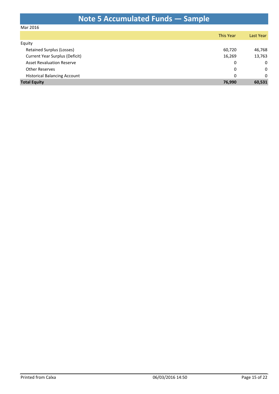### **Note 5 Accumulated Funds — Sample**

#### Mar 2016

|                                     | <b>This Year</b> | Last Year    |
|-------------------------------------|------------------|--------------|
| Equity                              |                  |              |
| <b>Retained Surplus (Losses)</b>    | 60,720           | 46,768       |
| Current Year Surplus (Deficit)      | 16,269           | 13,763       |
| <b>Asset Revaluation Reserve</b>    | 0                | 0            |
| <b>Other Reserves</b>               | 0                | 0            |
| <b>Historical Balancing Account</b> | 0                | $\mathbf{0}$ |
| <b>Total Equity</b>                 | 76,990           | 60,531       |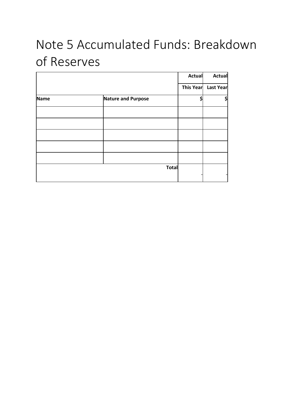# Note 5 Accumulated Funds: Breakdown of Reserves

|      |                           | <b>Actual</b> | <b>Actual</b>       |
|------|---------------------------|---------------|---------------------|
|      |                           |               | This Year Last Year |
| Name | <b>Nature and Purpose</b> |               | \$                  |
|      |                           |               |                     |
|      |                           |               |                     |
|      |                           |               |                     |
|      |                           |               |                     |
|      |                           |               |                     |
|      | <b>Total</b>              |               |                     |
|      |                           |               |                     |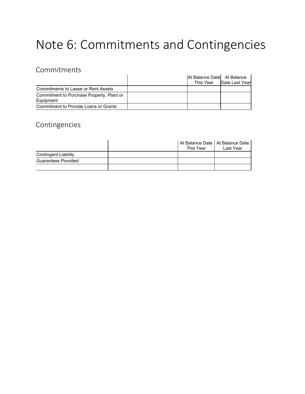# Note 6: Commitments and Contingencies

### Commitments

|                                           | At Balance Datel At Balance |                          |
|-------------------------------------------|-----------------------------|--------------------------|
|                                           |                             | This Year Date Last Year |
| Commitments to Lease or Rent Assets       |                             |                          |
| Commitment to Purchase Property, Plant or |                             |                          |
| Equipment                                 |                             |                          |
| Commitment to Provide Loans or Grants     |                             |                          |

### Contingencies

|                             | │ At Balance Date │ At Balance Date<br>This Year | Last Year |
|-----------------------------|--------------------------------------------------|-----------|
| <b>Contingent Liability</b> |                                                  |           |
| Guarantees Provided         |                                                  |           |
|                             |                                                  |           |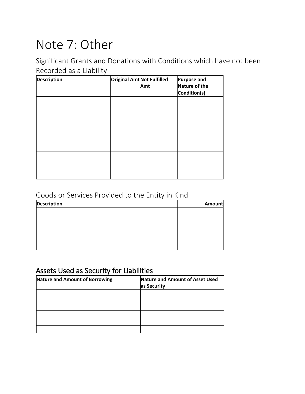### Note 7: Other

Significant Grants and Donations with Conditions which have not been Recorded as a Liability

| <b>Description</b> | <b>Original Amt Not Fulfilled</b><br>Amt | <b>Purpose and</b><br>Nature of the<br>Condition(s) |
|--------------------|------------------------------------------|-----------------------------------------------------|
|                    |                                          |                                                     |
|                    |                                          |                                                     |
|                    |                                          |                                                     |
|                    |                                          |                                                     |

### Goods or Services Provided to the Entity in Kind

| <b>Description</b> | Amount |
|--------------------|--------|
|                    |        |
|                    |        |
|                    |        |
|                    |        |
|                    |        |
|                    |        |

### **Assets Used as Security for Liabilities**

| <b>Nature and Amount of Borrowing</b> | Nature and Amount of Asset Used<br>as Security |
|---------------------------------------|------------------------------------------------|
|                                       |                                                |
|                                       |                                                |
|                                       |                                                |
|                                       |                                                |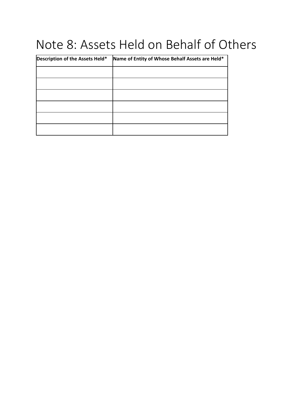### Note 8: Assets Held on Behalf of Others

| Description of the Assets Held* | Name of Entity of Whose Behalf Assets are Held* |
|---------------------------------|-------------------------------------------------|
|                                 |                                                 |
|                                 |                                                 |
|                                 |                                                 |
|                                 |                                                 |
|                                 |                                                 |
|                                 |                                                 |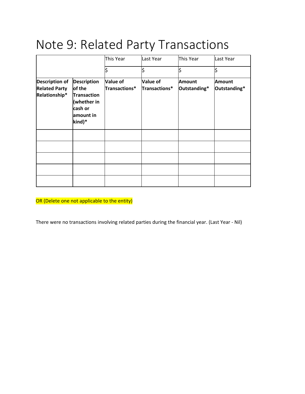### Note 9: Related Party Transactions

|                                                                |                                                                                                     | This Year                 | Last Year                        | This Year              | Last Year                     |
|----------------------------------------------------------------|-----------------------------------------------------------------------------------------------------|---------------------------|----------------------------------|------------------------|-------------------------------|
|                                                                |                                                                                                     | \$                        | \$                               | \$                     | \$                            |
| <b>Description of</b><br><b>Related Party</b><br>Relationship* | <b>Description</b><br>of the<br><b>Transaction</b><br>(whether in<br>cash or<br>amount in<br>kind)* | Value of<br>Transactions* | <b>Value of</b><br>Transactions* | Amount<br>Outstanding* | <b>Amount</b><br>Outstanding* |
|                                                                |                                                                                                     |                           |                                  |                        |                               |
|                                                                |                                                                                                     |                           |                                  |                        |                               |
|                                                                |                                                                                                     |                           |                                  |                        |                               |
|                                                                |                                                                                                     |                           |                                  |                        |                               |
|                                                                |                                                                                                     |                           |                                  |                        |                               |

OR (Delete one not applicable to the entity)

There were no transactions involving related parties during the financial year. (Last Year - Nil)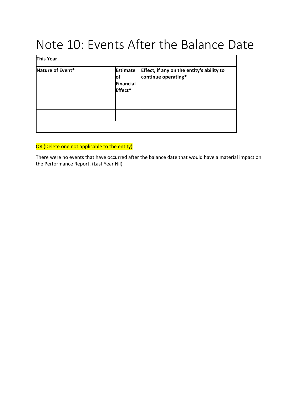### Note 10: Events After the Balance Date

| This Year        |                                                |                                                                  |
|------------------|------------------------------------------------|------------------------------------------------------------------|
| Nature of Event* | <b>Estimate</b><br>lof<br>Financial<br>Effect* | Effect, if any on the entity's ability to<br>continue operating* |
|                  |                                                |                                                                  |
|                  |                                                |                                                                  |
|                  |                                                |                                                                  |

#### OR (Delete one not applicable to the entity)

There were no events that have occurred after the balance date that would have a material impact on the Performance Report. (Last Year Nil)